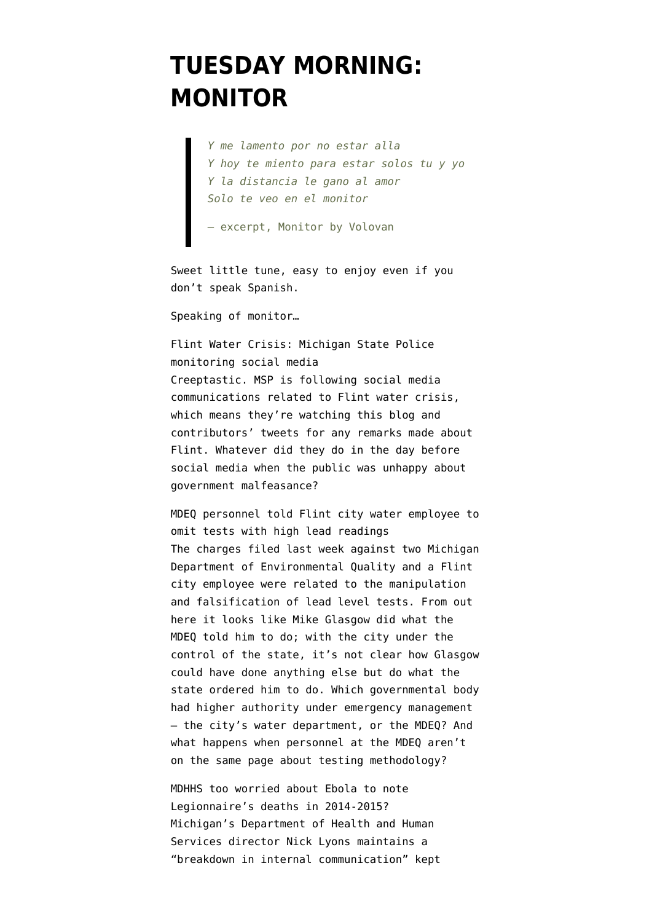## **[TUESDAY MORNING:](https://www.emptywheel.net/2016/04/26/tuesday-morning-monitor/) [MONITOR](https://www.emptywheel.net/2016/04/26/tuesday-morning-monitor/)**

*Y me lamento por no estar alla Y hoy te miento para estar solos tu y yo Y la distancia le gano al amor Solo te veo en el monitor*

— excerpt, Monitor by Volovan

Sweet little tune, easy to enjoy even if you don't speak Spanish.

Speaking of monitor…

Flint Water Crisis: Michigan State Police monitoring social media Creeptastic. MSP [is following social media](http://www.mlive.com/news/flint/index.ssf/2016/04/flint_water_crisis_online_stat.html) [communications](http://www.mlive.com/news/flint/index.ssf/2016/04/flint_water_crisis_online_stat.html) related to Flint water crisis, which means they're watching this blog and contributors' tweets for any remarks made about Flint. Whatever did they do in the day before social media when the public was unhappy about government malfeasance?

MDEQ personnel told Flint city water employee to omit tests with high lead readings The charges filed last week against two Michigan Department of Environmental Quality and a Flint city employee were [related to the manipulation](http://www.lansingstatejournal.com/story/news/local/2016/04/23/new-details-led-charges-flint-water-crisis/83428550/) [and falsification of lead level tests](http://www.lansingstatejournal.com/story/news/local/2016/04/23/new-details-led-charges-flint-water-crisis/83428550/). From out here it looks like Mike Glasgow did what the MDEQ told him to do; with the city under the control of the state, it's not clear how Glasgow could have done anything else but do what the state ordered him to do. Which governmental body had higher authority under emergency management — the city's water department, or the MDEQ? And what happens when personnel at the MDEQ [aren't](http://michiganradio.org/post/video-how-dropping-two-flints-lead-test-numbers-changed-things-state) [on the same page](http://michiganradio.org/post/video-how-dropping-two-flints-lead-test-numbers-changed-things-state) about testing methodology?

MDHHS too worried about Ebola to note Legionnaire's deaths in 2014-2015? Michigan's Department of Health and Human Services director Nick Lyons maintains a "breakdown in internal communication" [kept](http://www.detroitnews.com/story/news/michigan/flint-water-crisis/2016/04/25/snyder-staff-testify-flint-water-crisis/83489724/)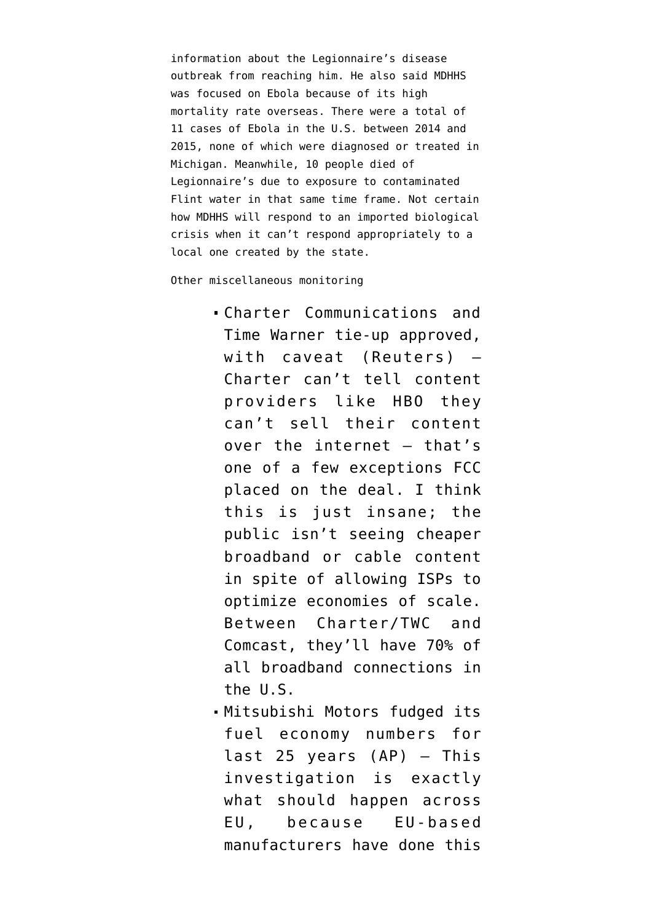[information about the Legionnaire's disease](http://www.detroitnews.com/story/news/michigan/flint-water-crisis/2016/04/25/snyder-staff-testify-flint-water-crisis/83489724/) [outbreak from reaching him.](http://www.detroitnews.com/story/news/michigan/flint-water-crisis/2016/04/25/snyder-staff-testify-flint-water-crisis/83489724/) He also said MDHHS was focused on Ebola because of its high mortality rate overseas. There were a total of [11 cases of Ebola in the U.S.](https://en.wikipedia.org/wiki/Ebola_virus_cases_in_the_United_States) between 2014 and 2015, none of which were diagnosed or treated in Michigan. Meanwhile, 10 people died of Legionnaire's due to exposure to contaminated Flint water in that same time frame. Not certain how MDHHS will respond to an imported biological crisis when it can't respond appropriately to a local one created by the state.

Other miscellaneous monitoring

- Charter Communications and Time Warner [tie-up approved](http://www.reuters.com/article/us-timewarnercable-m-a-charter-communi-idUSKCN0XM22H), with caveat (Reuters) — Charter can't tell content providers like HBO they can't sell their content over the internet – that's one of a few exceptions FCC placed on the deal. I think this is just insane; the public isn't seeing cheaper broadband or cable content in spite of allowing ISPs to optimize economies of scale. Between Charter/TWC and Comcast, they'll have 70% of all broadband connections in the U.S.
- Mitsubishi Motors [fudged its](http://bigstory.ap.org/article/d1935bd2abc141e685b98a2c87fb0330/mitsubishi-motors-says-it-did-false-mileage-tests-1991) [fuel economy numbers](http://bigstory.ap.org/article/d1935bd2abc141e685b98a2c87fb0330/mitsubishi-motors-says-it-did-false-mileage-tests-1991) for last 25 years (AP) — This investigation is exactly what should happen across EU, because EU-based manufacturers have done this